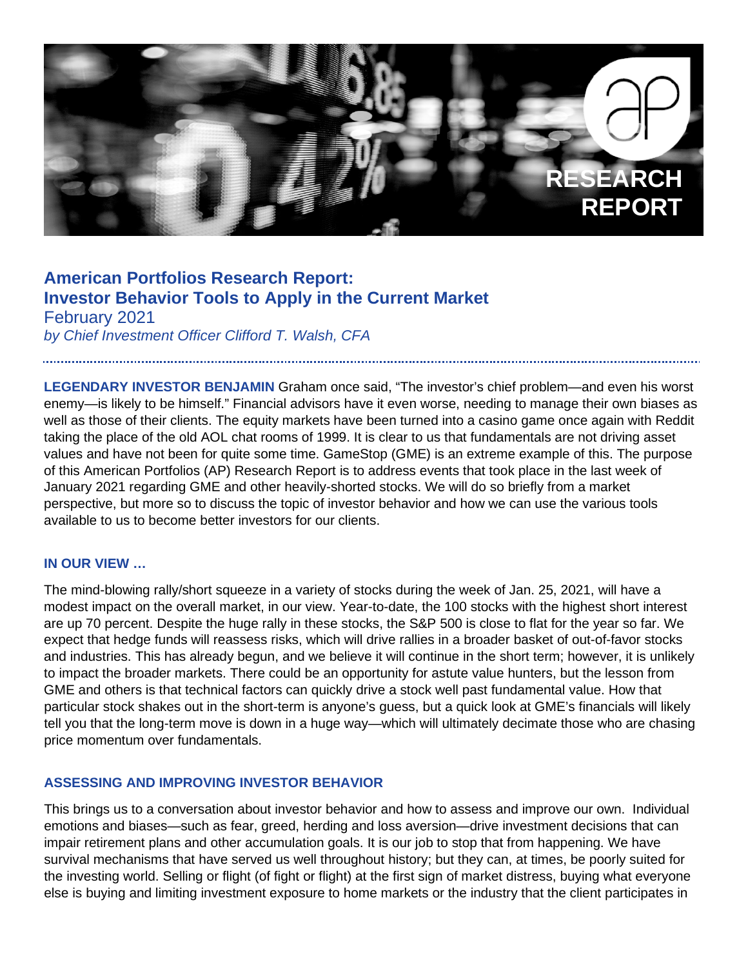

# **American Portfolios Research Report: Investor Behavior Tools to Apply in the Current Market** February 2021

*by Chief Investment Officer Clifford T. Walsh, CFA* 

**LEGENDARY INVESTOR BENJAMIN** Graham once said, "The investor's chief problem—and even his worst enemy—is likely to be himself." Financial advisors have it even worse, needing to manage their own biases as well as those of their clients. The equity markets have been turned into a casino game once again with Reddit taking the place of the old AOL chat rooms of 1999. It is clear to us that fundamentals are not driving asset values and have not been for quite some time. GameStop (GME) is an extreme example of this. The purpose of this American Portfolios (AP) Research Report is to address events that took place in the last week of January 2021 regarding GME and other heavily-shorted stocks. We will do so briefly from a market perspective, but more so to discuss the topic of investor behavior and how we can use the various tools available to us to become better investors for our clients.

## **IN OUR VIEW …**

The mind-blowing rally/short squeeze in a variety of stocks during the week of Jan. 25, 2021, will have a modest impact on the overall market, in our view. Year-to-date, the 100 stocks with the highest short interest are up 70 percent. Despite the huge rally in these stocks, the S&P 500 is close to flat for the year so far. We expect that hedge funds will reassess risks, which will drive rallies in a broader basket of out-of-favor stocks and industries. This has already begun, and we believe it will continue in the short term; however, it is unlikely to impact the broader markets. There could be an opportunity for astute value hunters, but the lesson from GME and others is that technical factors can quickly drive a stock well past fundamental value. How that particular stock shakes out in the short-term is anyone's guess, but a quick look at GME's financials will likely tell you that the long-term move is down in a huge way—which will ultimately decimate those who are chasing price momentum over fundamentals.

### **ASSESSING AND IMPROVING INVESTOR BEHAVIOR**

This brings us to a conversation about investor behavior and how to assess and improve our own. Individual emotions and biases—such as fear, greed, herding and loss aversion—drive investment decisions that can impair retirement plans and other accumulation goals. It is our job to stop that from happening. We have survival mechanisms that have served us well throughout history; but they can, at times, be poorly suited for the investing world. Selling or flight (of fight or flight) at the first sign of market distress, buying what everyone else is buying and limiting investment exposure to home markets or the industry that the client participates in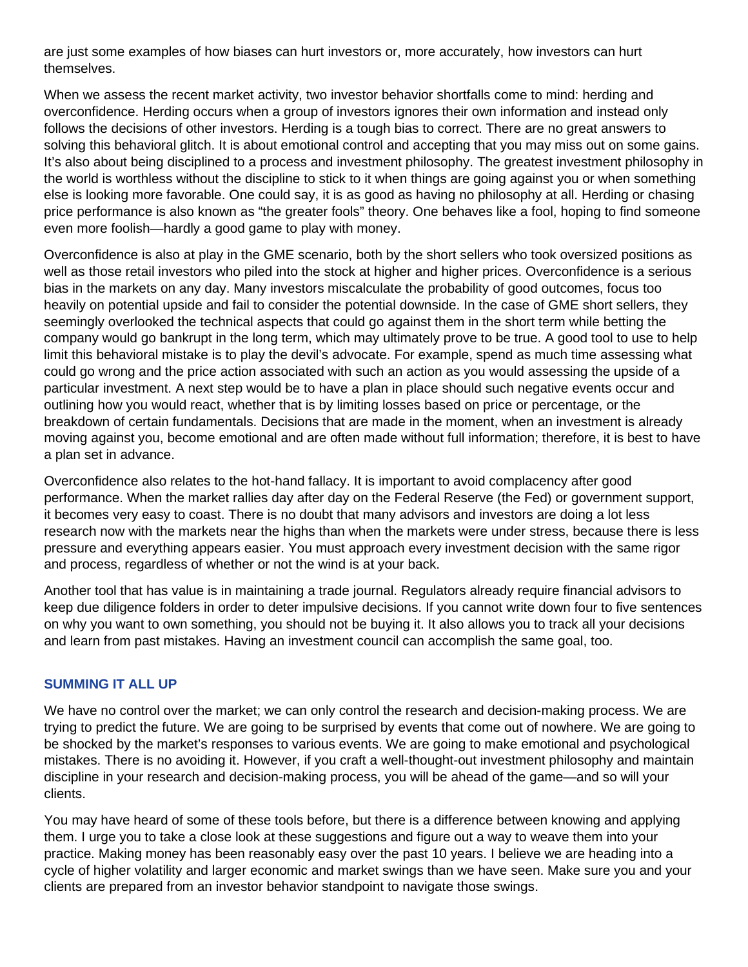are just some examples of how biases can hurt investors or, more accurately, how investors can hurt themselves.

When we assess the recent market activity, two investor behavior shortfalls come to mind: herding and overconfidence. Herding occurs when a group of investors ignores their own information and instead only follows the decisions of other investors. Herding is a tough bias to correct. There are no great answers to solving this behavioral glitch. It is about emotional control and accepting that you may miss out on some gains. It's also about being disciplined to a process and investment philosophy. The greatest investment philosophy in the world is worthless without the discipline to stick to it when things are going against you or when something else is looking more favorable. One could say, it is as good as having no philosophy at all. Herding or chasing price performance is also known as "the greater fools" theory. One behaves like a fool, hoping to find someone even more foolish—hardly a good game to play with money.

Overconfidence is also at play in the GME scenario, both by the short sellers who took oversized positions as well as those retail investors who piled into the stock at higher and higher prices. Overconfidence is a serious bias in the markets on any day. Many investors miscalculate the probability of good outcomes, focus too heavily on potential upside and fail to consider the potential downside. In the case of GME short sellers, they seemingly overlooked the technical aspects that could go against them in the short term while betting the company would go bankrupt in the long term, which may ultimately prove to be true. A good tool to use to help limit this behavioral mistake is to play the devil's advocate. For example, spend as much time assessing what could go wrong and the price action associated with such an action as you would assessing the upside of a particular investment. A next step would be to have a plan in place should such negative events occur and outlining how you would react, whether that is by limiting losses based on price or percentage, or the breakdown of certain fundamentals. Decisions that are made in the moment, when an investment is already moving against you, become emotional and are often made without full information; therefore, it is best to have a plan set in advance.

Overconfidence also relates to the hot-hand fallacy. It is important to avoid complacency after good performance. When the market rallies day after day on the Federal Reserve (the Fed) or government support, it becomes very easy to coast. There is no doubt that many advisors and investors are doing a lot less research now with the markets near the highs than when the markets were under stress, because there is less pressure and everything appears easier. You must approach every investment decision with the same rigor and process, regardless of whether or not the wind is at your back.

Another tool that has value is in maintaining a trade journal. Regulators already require financial advisors to keep due diligence folders in order to deter impulsive decisions. If you cannot write down four to five sentences on why you want to own something, you should not be buying it. It also allows you to track all your decisions and learn from past mistakes. Having an investment council can accomplish the same goal, too.

### **SUMMING IT ALL UP**

We have no control over the market; we can only control the research and decision-making process. We are trying to predict the future. We are going to be surprised by events that come out of nowhere. We are going to be shocked by the market's responses to various events. We are going to make emotional and psychological mistakes. There is no avoiding it. However, if you craft a well-thought-out investment philosophy and maintain discipline in your research and decision-making process, you will be ahead of the game—and so will your clients.

You may have heard of some of these tools before, but there is a difference between knowing and applying them. I urge you to take a close look at these suggestions and figure out a way to weave them into your practice. Making money has been reasonably easy over the past 10 years. I believe we are heading into a cycle of higher volatility and larger economic and market swings than we have seen. Make sure you and your clients are prepared from an investor behavior standpoint to navigate those swings.